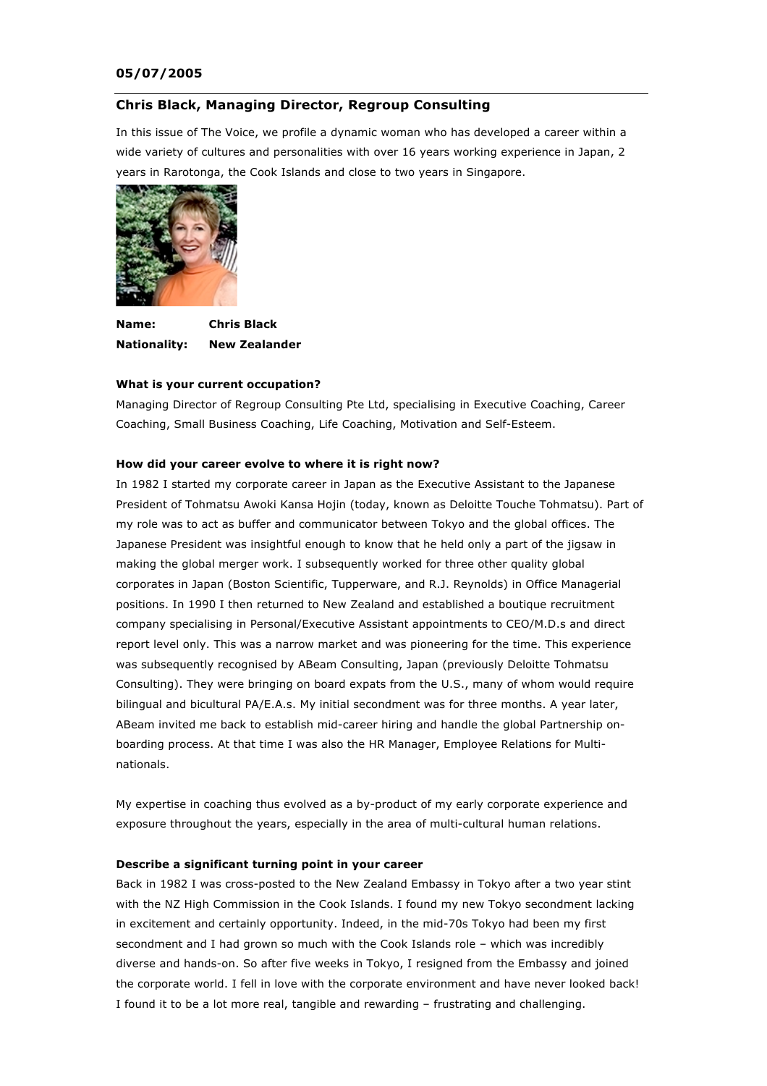## **05/07/2005**

## **Chris Black, Managing Director, Regroup Consulting**

In this issue of The Voice, we profile a dynamic woman who has developed a career within a wide variety of cultures and personalities with over 16 years working experience in Japan, 2 years in Rarotonga, the Cook Islands and close to two years in Singapore.



**Name: Chris Black Nationality: New Zealander**

### **What is your current occupation?**

Managing Director of Regroup Consulting Pte Ltd, specialising in Executive Coaching, Career Coaching, Small Business Coaching, Life Coaching, Motivation and Self-Esteem.

### **How did your career evolve to where it is right now?**

In 1982 I started my corporate career in Japan as the Executive Assistant to the Japanese President of Tohmatsu Awoki Kansa Hojin (today, known as Deloitte Touche Tohmatsu). Part of my role was to act as buffer and communicator between Tokyo and the global offices. The Japanese President was insightful enough to know that he held only a part of the jigsaw in making the global merger work. I subsequently worked for three other quality global corporates in Japan (Boston Scientific, Tupperware, and R.J. Reynolds) in Office Managerial positions. In 1990 I then returned to New Zealand and established a boutique recruitment company specialising in Personal/Executive Assistant appointments to CEO/M.D.s and direct report level only. This was a narrow market and was pioneering for the time. This experience was subsequently recognised by ABeam Consulting, Japan (previously Deloitte Tohmatsu Consulting). They were bringing on board expats from the U.S., many of whom would require bilingual and bicultural PA/E.A.s. My initial secondment was for three months. A year later, ABeam invited me back to establish mid-career hiring and handle the global Partnership onboarding process. At that time I was also the HR Manager, Employee Relations for Multinationals.

My expertise in coaching thus evolved as a by-product of my early corporate experience and exposure throughout the years, especially in the area of multi-cultural human relations.

#### **Describe a significant turning point in your career**

Back in 1982 I was cross-posted to the New Zealand Embassy in Tokyo after a two year stint with the NZ High Commission in the Cook Islands. I found my new Tokyo secondment lacking in excitement and certainly opportunity. Indeed, in the mid-70s Tokyo had been my first secondment and I had grown so much with the Cook Islands role – which was incredibly diverse and hands-on. So after five weeks in Tokyo, I resigned from the Embassy and joined the corporate world. I fell in love with the corporate environment and have never looked back! I found it to be a lot more real, tangible and rewarding – frustrating and challenging.